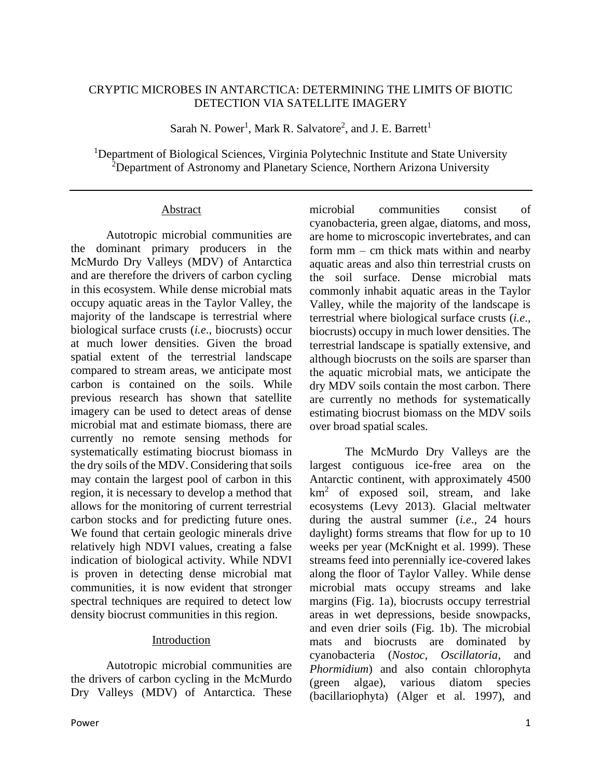## CRYPTIC MICROBES IN ANTARCTICA: DETERMINING THE LIMITS OF BIOTIC DETECTION VIA SATELLITE IMAGERY

Sarah N. Power<sup>1</sup>, Mark R. Salvatore<sup>2</sup>, and J. E. Barrett<sup>1</sup>

<sup>1</sup>Department of Biological Sciences, Virginia Polytechnic Institute and State University <sup>2</sup>Department of Astronomy and Planetary Science, Northern Arizona University

#### Abstract

Autotropic microbial communities are the dominant primary producers in the McMurdo Dry Valleys (MDV) of Antarctica and are therefore the drivers of carbon cycling in this ecosystem. While dense microbial mats occupy aquatic areas in the Taylor Valley, the majority of the landscape is terrestrial where biological surface crusts (*i.e*., biocrusts) occur at much lower densities. Given the broad spatial extent of the terrestrial landscape compared to stream areas, we anticipate most carbon is contained on the soils. While previous research has shown that satellite imagery can be used to detect areas of dense microbial mat and estimate biomass, there are currently no remote sensing methods for systematically estimating biocrust biomass in the dry soils of the MDV. Considering that soils may contain the largest pool of carbon in this region, it is necessary to develop a method that allows for the monitoring of current terrestrial carbon stocks and for predicting future ones. We found that certain geologic minerals drive relatively high NDVI values, creating a false indication of biological activity. While NDVI is proven in detecting dense microbial mat communities, it is now evident that stronger spectral techniques are required to detect low density biocrust communities in this region.

# Introduction

Autotropic microbial communities are the drivers of carbon cycling in the McMurdo Dry Valleys (MDV) of Antarctica. These

microbial communities consist of cyanobacteria, green algae, diatoms, and moss, are home to microscopic invertebrates, and can form mm – cm thick mats within and nearby aquatic areas and also thin terrestrial crusts on the soil surface. Dense microbial mats commonly inhabit aquatic areas in the Taylor Valley, while the majority of the landscape is terrestrial where biological surface crusts (*i.e*., biocrusts) occupy in much lower densities. The terrestrial landscape is spatially extensive, and although biocrusts on the soils are sparser than the aquatic microbial mats, we anticipate the dry MDV soils contain the most carbon. There are currently no methods for systematically estimating biocrust biomass on the MDV soils over broad spatial scales.

The McMurdo Dry Valleys are the largest contiguous ice-free area on the Antarctic continent, with approximately 4500  $km<sup>2</sup>$  of exposed soil, stream, and lake ecosystems (Levy 2013). Glacial meltwater during the austral summer (*i.e*., 24 hours daylight) forms streams that flow for up to 10 weeks per year (McKnight et al. 1999). These streams feed into perennially ice-covered lakes along the floor of Taylor Valley. While dense microbial mats occupy streams and lake margins (Fig. 1a), biocrusts occupy terrestrial areas in wet depressions, beside snowpacks, and even drier soils (Fig. 1b). The microbial mats and biocrusts are dominated by cyanobacteria (*Nostoc*, *Oscillatoria*, and *Phormidium*) and also contain chlorophyta (green algae), various diatom species (bacillariophyta) (Alger et al. 1997), and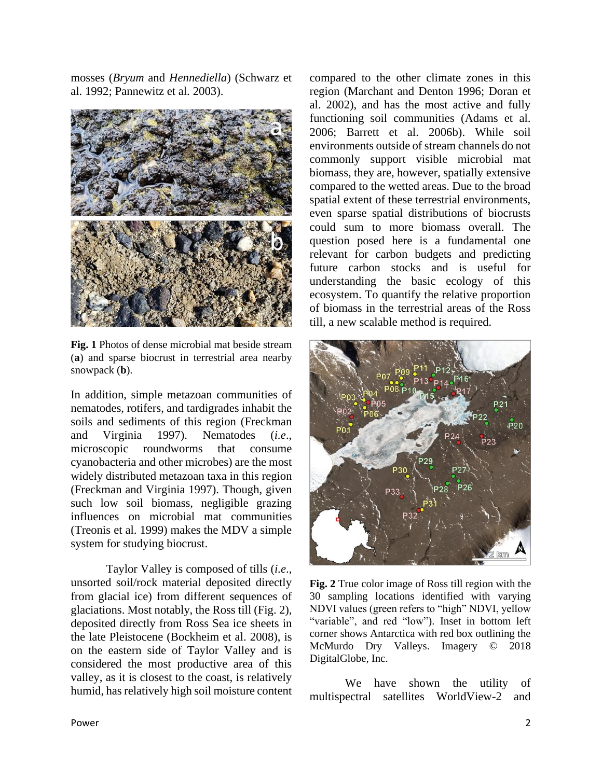mosses (*Bryum* and *Hennediella*) (Schwarz et al. 1992; Pannewitz et al. 2003).



**Fig. 1** Photos of dense microbial mat beside stream (**a**) and sparse biocrust in terrestrial area nearby snowpack (**b**).

In addition, simple metazoan communities of nematodes, rotifers, and tardigrades inhabit the soils and sediments of this region (Freckman and Virginia 1997). Nematodes (*i.e*., microscopic roundworms that consume cyanobacteria and other microbes) are the most widely distributed metazoan taxa in this region (Freckman and Virginia 1997). Though, given such low soil biomass, negligible grazing influences on microbial mat communities (Treonis et al. 1999) makes the MDV a simple system for studying biocrust.

Taylor Valley is composed of tills (*i.e*., unsorted soil/rock material deposited directly from glacial ice) from different sequences of glaciations. Most notably, the Ross till (Fig. 2), deposited directly from Ross Sea ice sheets in the late Pleistocene (Bockheim et al. 2008), is on the eastern side of Taylor Valley and is considered the most productive area of this valley, as it is closest to the coast, is relatively humid, has relatively high soil moisture content

compared to the other climate zones in this region (Marchant and Denton 1996; Doran et al. 2002), and has the most active and fully functioning soil communities (Adams et al. 2006; Barrett et al. 2006b). While soil environments outside of stream channels do not commonly support visible microbial mat biomass, they are, however, spatially extensive compared to the wetted areas. Due to the broad spatial extent of these terrestrial environments, even sparse spatial distributions of biocrusts could sum to more biomass overall. The question posed here is a fundamental one relevant for carbon budgets and predicting future carbon stocks and is useful for understanding the basic ecology of this ecosystem. To quantify the relative proportion of biomass in the terrestrial areas of the Ross till, a new scalable method is required.



**Fig. 2** True color image of Ross till region with the 30 sampling locations identified with varying NDVI values (green refers to "high" NDVI, yellow "variable", and red "low"). Inset in bottom left corner shows Antarctica with red box outlining the McMurdo Dry Valleys. Imagery © 2018 DigitalGlobe, Inc.

We have shown the utility of multispectral satellites WorldView-2 and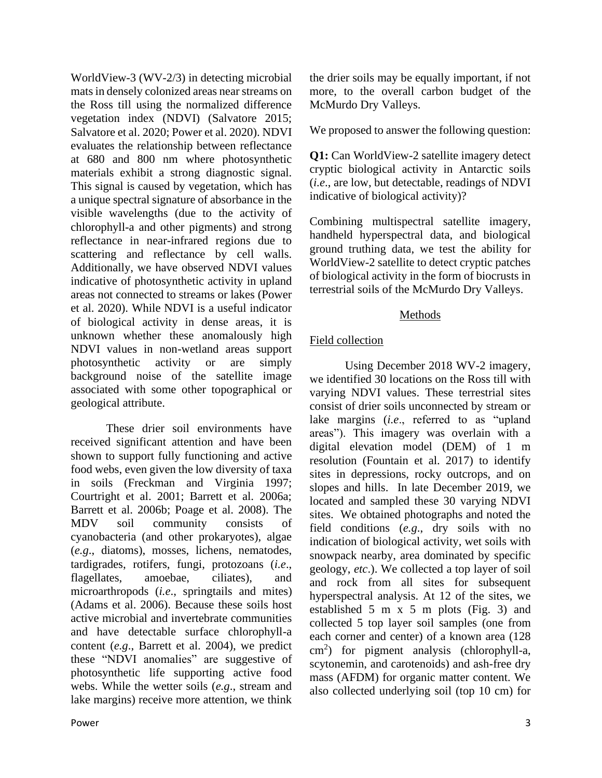WorldView-3 (WV-2/3) in detecting microbial mats in densely colonized areas near streams on the Ross till using the normalized difference vegetation index (NDVI) (Salvatore 2015; Salvatore et al. 2020; Power et al. 2020). NDVI evaluates the relationship between reflectance at 680 and 800 nm where photosynthetic materials exhibit a strong diagnostic signal. This signal is caused by vegetation, which has a unique spectral signature of absorbance in the visible wavelengths (due to the activity of chlorophyll-a and other pigments) and strong reflectance in near-infrared regions due to scattering and reflectance by cell walls. Additionally, we have observed NDVI values indicative of photosynthetic activity in upland areas not connected to streams or lakes (Power et al. 2020). While NDVI is a useful indicator of biological activity in dense areas, it is unknown whether these anomalously high NDVI values in non-wetland areas support photosynthetic activity or are simply background noise of the satellite image associated with some other topographical or geological attribute.

These drier soil environments have received significant attention and have been shown to support fully functioning and active food webs, even given the low diversity of taxa in soils (Freckman and Virginia 1997; Courtright et al. 2001; Barrett et al. 2006a; Barrett et al. 2006b; Poage et al. 2008). The MDV soil community consists of cyanobacteria (and other prokaryotes), algae (*e.g*., diatoms), mosses, lichens, nematodes, tardigrades, rotifers, fungi, protozoans (*i.e*., flagellates, amoebae, ciliates), and microarthropods (*i.e*., springtails and mites) (Adams et al. 2006). Because these soils host active microbial and invertebrate communities and have detectable surface chlorophyll-a content (*e.g*., Barrett et al. 2004), we predict these "NDVI anomalies" are suggestive of photosynthetic life supporting active food webs. While the wetter soils (*e.g*., stream and lake margins) receive more attention, we think

the drier soils may be equally important, if not more, to the overall carbon budget of the McMurdo Dry Valleys.

We proposed to answer the following question:

**Q1:** Can WorldView-2 satellite imagery detect cryptic biological activity in Antarctic soils (*i.e*., are low, but detectable, readings of NDVI indicative of biological activity)?

Combining multispectral satellite imagery, handheld hyperspectral data, and biological ground truthing data, we test the ability for WorldView-2 satellite to detect cryptic patches of biological activity in the form of biocrusts in terrestrial soils of the McMurdo Dry Valleys.

## Methods

# Field collection

Using December 2018 WV-2 imagery, we identified 30 locations on the Ross till with varying NDVI values. These terrestrial sites consist of drier soils unconnected by stream or lake margins (*i.e*., referred to as "upland areas"). This imagery was overlain with a digital elevation model (DEM) of 1 m resolution (Fountain et al. 2017) to identify sites in depressions, rocky outcrops, and on slopes and hills. In late December 2019, we located and sampled these 30 varying NDVI sites. We obtained photographs and noted the field conditions (*e.g*., dry soils with no indication of biological activity, wet soils with snowpack nearby, area dominated by specific geology, *etc*.). We collected a top layer of soil and rock from all sites for subsequent hyperspectral analysis. At 12 of the sites, we established 5 m x 5 m plots (Fig. 3) and collected 5 top layer soil samples (one from each corner and center) of a known area (128  $\text{cm}^2$ ) for pigment analysis (chlorophyll-a, scytonemin, and carotenoids) and ash-free dry mass (AFDM) for organic matter content. We also collected underlying soil (top 10 cm) for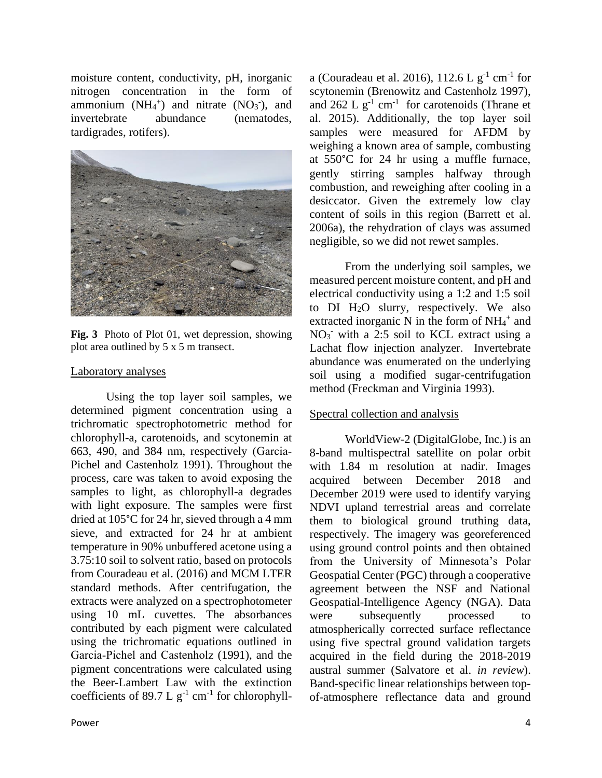moisture content, conductivity, pH, inorganic nitrogen concentration in the form of ammonium  $(NH_4^+)$  and nitrate  $(NO_3^-)$ , and invertebrate abundance (nematodes, tardigrades, rotifers).



**Fig. 3** Photo of Plot 01, wet depression, showing plot area outlined by 5 x 5 m transect.

#### Laboratory analyses

Using the top layer soil samples, we determined pigment concentration using a trichromatic spectrophotometric method for chlorophyll-a, carotenoids, and scytonemin at 663, 490, and 384 nm, respectively (Garcia‐ Pichel and Castenholz 1991). Throughout the process, care was taken to avoid exposing the samples to light, as chlorophyll-a degrades with light exposure. The samples were first dried at 105°C for 24 hr, sieved through a 4 mm sieve, and extracted for 24 hr at ambient temperature in 90% unbuffered acetone using a 3.75:10 soil to solvent ratio, based on protocols from Couradeau et al. (2016) and MCM LTER standard methods. After centrifugation, the extracts were analyzed on a spectrophotometer using 10 mL cuvettes. The absorbances contributed by each pigment were calculated using the trichromatic equations outlined in Garcia‐Pichel and Castenholz (1991), and the pigment concentrations were calculated using the Beer-Lambert Law with the extinction coefficients of 89.7 L  $g^{-1}$  cm<sup>-1</sup> for chlorophyll-

a (Couradeau et al. 2016),  $112.6 \text{ L g}^{-1} \text{ cm}^{-1}$  for scytonemin (Brenowitz and Castenholz 1997), and  $262 \text{ L g}^{-1} \text{ cm}^{-1}$  for carotenoids (Thrane et al. 2015). Additionally, the top layer soil samples were measured for AFDM by weighing a known area of sample, combusting at 550°C for 24 hr using a muffle furnace, gently stirring samples halfway through combustion, and reweighing after cooling in a desiccator. Given the extremely low clay content of soils in this region (Barrett et al. 2006a), the rehydration of clays was assumed negligible, so we did not rewet samples.

From the underlying soil samples, we measured percent moisture content, and pH and electrical conductivity using a 1:2 and 1:5 soil to DI H2O slurry, respectively. We also extracted inorganic N in the form of  $NH_4^+$  and NO<sub>3</sub> with a 2:5 soil to KCL extract using a Lachat flow injection analyzer. Invertebrate abundance was enumerated on the underlying soil using a modified sugar-centrifugation method (Freckman and Virginia 1993).

#### Spectral collection and analysis

WorldView-2 (DigitalGlobe, Inc.) is an 8-band multispectral satellite on polar orbit with 1.84 m resolution at nadir. Images acquired between December 2018 and December 2019 were used to identify varying NDVI upland terrestrial areas and correlate them to biological ground truthing data, respectively. The imagery was georeferenced using ground control points and then obtained from the University of Minnesota's Polar Geospatial Center (PGC) through a cooperative agreement between the NSF and National Geospatial-Intelligence Agency (NGA). Data were subsequently processed to atmospherically corrected surface reflectance using five spectral ground validation targets acquired in the field during the 2018-2019 austral summer (Salvatore et al. *in review*). Band-specific linear relationships between topof-atmosphere reflectance data and ground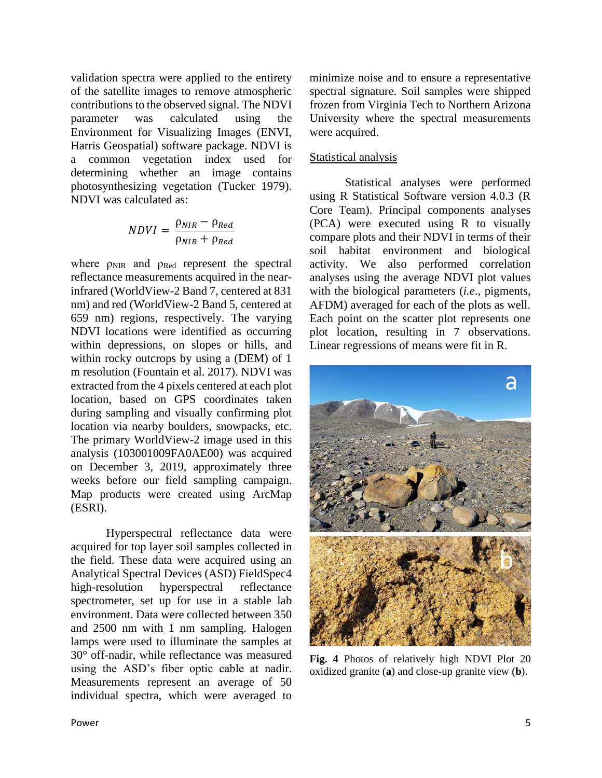validation spectra were applied to the entirety of the satellite images to remove atmospheric contributions to the observed signal. The NDVI parameter was calculated using the Environment for Visualizing Images (ENVI, Harris Geospatial) software package. NDVI is a common vegetation index used for determining whether an image contains photosynthesizing vegetation (Tucker 1979). NDVI was calculated as:

$$
NDVI = \frac{\rho_{NIR} - \rho_{Red}}{\rho_{NIR} + \rho_{Red}}
$$

where  $\rho_{\text{NIR}}$  and  $\rho_{\text{Red}}$  represent the spectral reflectance measurements acquired in the nearinfrared (WorldView-2 Band 7, centered at 831 nm) and red (WorldView-2 Band 5, centered at 659 nm) regions, respectively. The varying NDVI locations were identified as occurring within depressions, on slopes or hills, and within rocky outcrops by using a (DEM) of 1 m resolution (Fountain et al. 2017). NDVI was extracted from the 4 pixels centered at each plot location, based on GPS coordinates taken during sampling and visually confirming plot location via nearby boulders, snowpacks, etc. The primary WorldView-2 image used in this analysis (103001009FA0AE00) was acquired on December 3, 2019, approximately three weeks before our field sampling campaign. Map products were created using ArcMap (ESRI).

Hyperspectral reflectance data were acquired for top layer soil samples collected in the field. These data were acquired using an Analytical Spectral Devices (ASD) FieldSpec4 high-resolution hyperspectral reflectance spectrometer, set up for use in a stable lab environment. Data were collected between 350 and 2500 nm with 1 nm sampling. Halogen lamps were used to illuminate the samples at 30° off-nadir, while reflectance was measured using the ASD's fiber optic cable at nadir. Measurements represent an average of 50 individual spectra, which were averaged to

minimize noise and to ensure a representative spectral signature. Soil samples were shipped frozen from Virginia Tech to Northern Arizona University where the spectral measurements were acquired.

#### Statistical analysis

Statistical analyses were performed using R Statistical Software version 4.0.3 (R Core Team). Principal components analyses (PCA) were executed using R to visually compare plots and their NDVI in terms of their soil habitat environment and biological activity. We also performed correlation analyses using the average NDVI plot values with the biological parameters (*i.e*., pigments, AFDM) averaged for each of the plots as well. Each point on the scatter plot represents one plot location, resulting in 7 observations. Linear regressions of means were fit in R.



**Fig. 4** Photos of relatively high NDVI Plot 20 oxidized granite (**a**) and close-up granite view (**b**).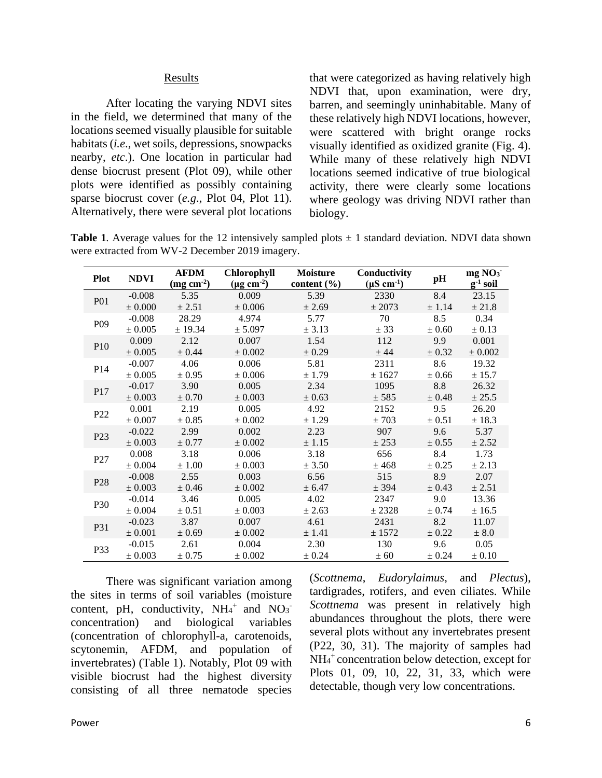#### **Results**

After locating the varying NDVI sites in the field, we determined that many of the locations seemed visually plausible for suitable habitats (*i.e*., wet soils, depressions, snowpacks nearby, *etc*.). One location in particular had dense biocrust present (Plot 09), while other plots were identified as possibly containing sparse biocrust cover (*e.g*., Plot 04, Plot 11). Alternatively, there were several plot locations

that were categorized as having relatively high NDVI that, upon examination, were dry, barren, and seemingly uninhabitable. Many of these relatively high NDVI locations, however, were scattered with bright orange rocks visually identified as oxidized granite (Fig. 4). While many of these relatively high NDVI locations seemed indicative of true biological activity, there were clearly some locations where geology was driving NDVI rather than biology.

**Table 1.** Average values for the 12 intensively sampled plots  $\pm$  1 standard deviation. NDVI data shown were extracted from WV-2 December 2019 imagery.

| <b>Plot</b>     | <b>NDVI</b> | <b>AFDM</b><br>$\left(\frac{\text{mg cm}^2}{\text{cm}^2}\right)$ | <b>Chlorophyll</b><br>$(\mu g \text{ cm}^2)$ | <b>Moisture</b><br>content (%) | Conductivity<br>$(\mu S \text{ cm}^{-1})$ | $\mathbf{p}$ | mg NO <sub>3</sub><br>$g^{-1}$ soil |
|-----------------|-------------|------------------------------------------------------------------|----------------------------------------------|--------------------------------|-------------------------------------------|--------------|-------------------------------------|
| <b>P01</b>      | $-0.008$    | 5.35                                                             | 0.009                                        | 5.39                           | 2330                                      | 8.4          | 23.15                               |
|                 | $\pm 0.000$ | ± 2.51                                                           | ± 0.006                                      | ± 2.69                         | ± 2073                                    | ± 1.14       | ± 21.8                              |
| P <sub>09</sub> | $-0.008$    | 28.29                                                            | 4.974                                        | 5.77                           | 70                                        | 8.5          | 0.34                                |
|                 | $\pm 0.005$ | ± 19.34                                                          | ± 5.097                                      | ± 3.13                         | ± 33                                      | ± 0.60       | ± 0.13                              |
| P10             | 0.009       | 2.12                                                             | 0.007                                        | 1.54                           | 112                                       | 9.9          | 0.001                               |
|                 | $\pm$ 0.005 | ± 0.44                                                           | $\pm$ 0.002                                  | ± 0.29                         | ± 44                                      | ± 0.32       | $\pm$ 0.002                         |
| P <sub>14</sub> | $-0.007$    | 4.06                                                             | 0.006                                        | 5.81                           | 2311                                      | 8.6          | 19.32                               |
|                 | $\pm 0.005$ | ± 0.95                                                           | $\pm 0.006$                                  | $\pm$ 1.79                     | ± 1627                                    | $\pm$ 0.66   | ± 15.7                              |
| P <sub>17</sub> | $-0.017$    | 3.90                                                             | 0.005                                        | 2.34                           | 1095                                      | 8.8          | 26.32                               |
|                 | $\pm 0.003$ | ± 0.70                                                           | $\pm 0.003$                                  | ± 0.63                         | ± 585                                     | ± 0.48       | ± 25.5                              |
| P <sub>22</sub> | 0.001       | 2.19                                                             | 0.005                                        | 4.92                           | 2152                                      | 9.5          | 26.20                               |
|                 | $\pm 0.007$ | ± 0.85                                                           | ± 0.002                                      | ± 1.29                         | ±703                                      | ± 0.51       | ± 18.3                              |
| P <sub>23</sub> | $-0.022$    | 2.99                                                             | 0.002                                        | 2.23                           | 907                                       | 9.6          | 5.37                                |
|                 | $\pm 0.003$ | ± 0.77                                                           | ± 0.002                                      | ± 1.15                         | ± 253                                     | ± 0.55       | ± 2.52                              |
| P27             | 0.008       | 3.18                                                             | 0.006                                        | 3.18                           | 656                                       | 8.4          | 1.73                                |
|                 | $\pm 0.004$ | $\pm$ 1.00                                                       | $\pm 0.003$                                  | ± 3.50                         | ± 468                                     | ± 0.25       | ± 2.13                              |
| P <sub>28</sub> | $-0.008$    | 2.55                                                             | 0.003                                        | 6.56                           | 515                                       | 8.9          | 2.07                                |
|                 | $\pm 0.003$ | ± 0.46                                                           | $\pm 0.002$                                  | ± 6.47                         | ± 394                                     | ± 0.43       | ± 2.51                              |
| <b>P30</b>      | $-0.014$    | 3.46                                                             | 0.005                                        | 4.02                           | 2347                                      | 9.0          | 13.36                               |
|                 | $\pm 0.004$ | ± 0.51                                                           | $\pm 0.003$                                  | ± 2.63                         | ± 2328                                    | ± 0.74       | ± 16.5                              |
| P31             | $-0.023$    | 3.87                                                             | 0.007                                        | 4.61                           | 2431                                      | 8.2          | 11.07                               |
|                 | $\pm$ 0.001 | ± 0.69                                                           | $\pm$ 0.002                                  | ± 1.41                         | $\pm$ 1572                                | $\pm$ 0.22   | $\pm$ 8.0                           |
| P33             | $-0.015$    | 2.61                                                             | 0.004                                        | 2.30                           | 130                                       | 9.6          | 0.05                                |
|                 | $\pm 0.003$ | $\pm$ 0.75                                                       | $\pm$ 0.002                                  | ± 0.24                         | $\pm$ 60                                  | ± 0.24       | $\pm 0.10$                          |

There was significant variation among the sites in terms of soil variables (moisture content, pH, conductivity,  $NH_4^+$  and  $NO_3^$ concentration) and biological variables (concentration of chlorophyll-a, carotenoids, scytonemin, AFDM, and population of invertebrates) (Table 1). Notably, Plot 09 with visible biocrust had the highest diversity consisting of all three nematode species

(*Scottnema*, *Eudorylaimus*, and *Plectus*), tardigrades, rotifers, and even ciliates. While *Scottnema* was present in relatively high abundances throughout the plots, there were several plots without any invertebrates present (P22, 30, 31). The majority of samples had NH<sup>4</sup> <sup>+</sup>concentration below detection, except for Plots 01, 09, 10, 22, 31, 33, which were detectable, though very low concentrations.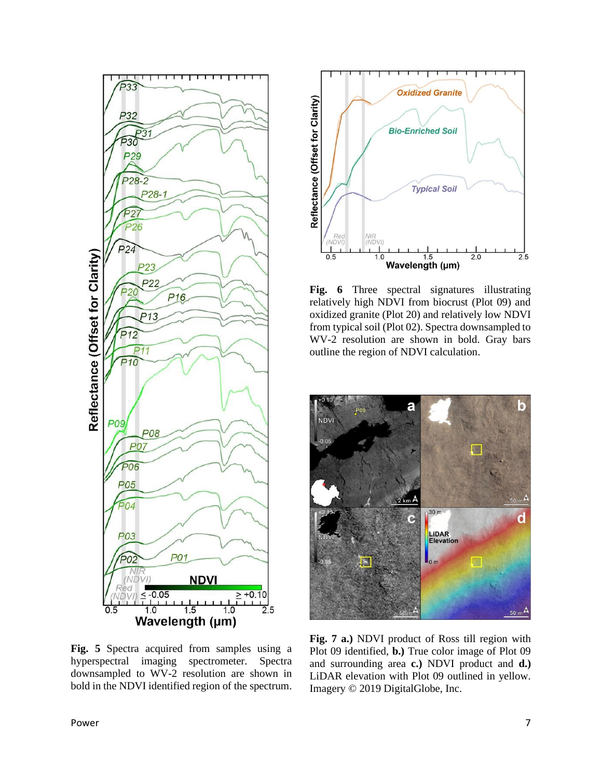

**Fig. 5** Spectra acquired from samples using a hyperspectral imaging spectrometer. Spectra downsampled to WV-2 resolution are shown in bold in the NDVI identified region of the spectrum.



**Fig. 6** Three spectral signatures illustrating relatively high NDVI from biocrust (Plot 09) and oxidized granite (Plot 20) and relatively low NDVI from typical soil (Plot 02). Spectra downsampled to WV-2 resolution are shown in bold. Gray bars outline the region of NDVI calculation.



**Fig. 7 a.)** NDVI product of Ross till region with Plot 09 identified, **b.)** True color image of Plot 09 and surrounding area **c.)** NDVI product and **d.)** LiDAR elevation with Plot 09 outlined in yellow. Imagery © 2019 DigitalGlobe, Inc.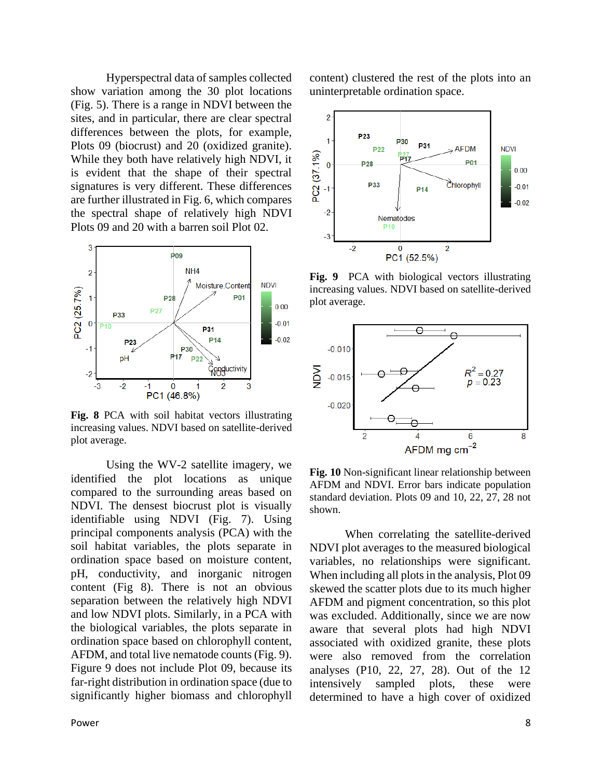Hyperspectral data of samples collected show variation among the 30 plot locations (Fig. 5). There is a range in NDVI between the sites, and in particular, there are clear spectral differences between the plots, for example, Plots 09 (biocrust) and 20 (oxidized granite). While they both have relatively high NDVI, it is evident that the shape of their spectral signatures is very different. These differences are further illustrated in Fig. 6, which compares the spectral shape of relatively high NDVI Plots 09 and 20 with a barren soil Plot 02.



**Fig. 8** PCA with soil habitat vectors illustrating increasing values. NDVI based on satellite-derived plot average.

Using the WV-2 satellite imagery, we identified the plot locations as unique compared to the surrounding areas based on NDVI. The densest biocrust plot is visually identifiable using NDVI (Fig. 7). Using principal components analysis (PCA) with the soil habitat variables, the plots separate in ordination space based on moisture content, pH, conductivity, and inorganic nitrogen content (Fig 8). There is not an obvious separation between the relatively high NDVI and low NDVI plots. Similarly, in a PCA with the biological variables, the plots separate in ordination space based on chlorophyll content, AFDM, and total live nematode counts (Fig. 9). Figure 9 does not include Plot 09, because its far-right distribution in ordination space (due to significantly higher biomass and chlorophyll

content) clustered the rest of the plots into an uninterpretable ordination space.



**Fig. 9** PCA with biological vectors illustrating increasing values. NDVI based on satellite-derived plot average.



**Fig. 10** Non-significant linear relationship between AFDM and NDVI. Error bars indicate population standard deviation. Plots 09 and 10, 22, 27, 28 not shown.

When correlating the satellite-derived NDVI plot averages to the measured biological variables, no relationships were significant. When including all plots in the analysis, Plot 09 skewed the scatter plots due to its much higher AFDM and pigment concentration, so this plot was excluded. Additionally, since we are now aware that several plots had high NDVI associated with oxidized granite, these plots were also removed from the correlation analyses (P10, 22, 27, 28). Out of the 12 intensively sampled plots, these were determined to have a high cover of oxidized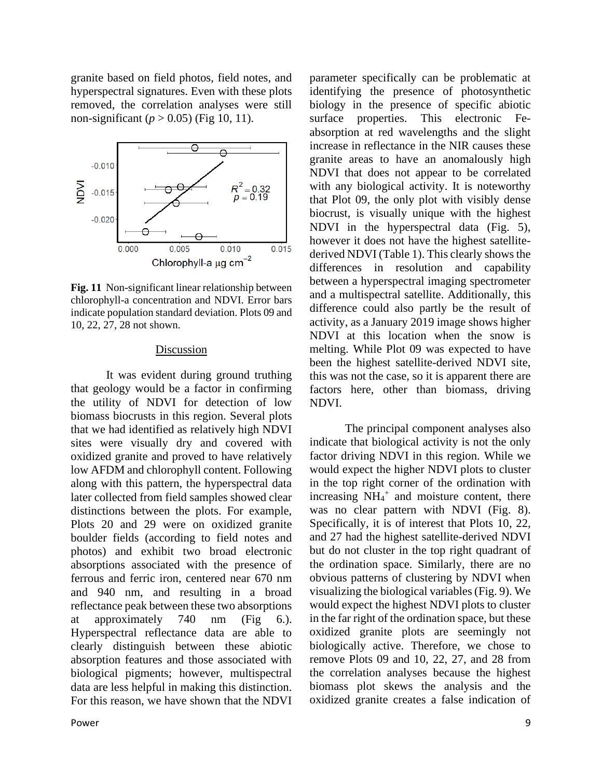granite based on field photos, field notes, and hyperspectral signatures. Even with these plots removed, the correlation analyses were still non-significant ( $p > 0.05$ ) (Fig 10, 11).



**Fig. 11** Non-significant linear relationship between chlorophyll-a concentration and NDVI. Error bars indicate population standard deviation. Plots 09 and 10, 22, 27, 28 not shown.

#### Discussion

It was evident during ground truthing that geology would be a factor in confirming the utility of NDVI for detection of low biomass biocrusts in this region. Several plots that we had identified as relatively high NDVI sites were visually dry and covered with oxidized granite and proved to have relatively low AFDM and chlorophyll content. Following along with this pattern, the hyperspectral data later collected from field samples showed clear distinctions between the plots. For example, Plots 20 and 29 were on oxidized granite boulder fields (according to field notes and photos) and exhibit two broad electronic absorptions associated with the presence of ferrous and ferric iron, centered near 670 nm and 940 nm, and resulting in a broad reflectance peak between these two absorptions at approximately 740 nm (Fig 6.). Hyperspectral reflectance data are able to clearly distinguish between these abiotic absorption features and those associated with biological pigments; however, multispectral data are less helpful in making this distinction. For this reason, we have shown that the NDVI

Power 9

parameter specifically can be problematic at identifying the presence of photosynthetic biology in the presence of specific abiotic surface properties. This electronic Feabsorption at red wavelengths and the slight increase in reflectance in the NIR causes these granite areas to have an anomalously high NDVI that does not appear to be correlated with any biological activity. It is noteworthy that Plot 09, the only plot with visibly dense biocrust, is visually unique with the highest NDVI in the hyperspectral data (Fig. 5), however it does not have the highest satellitederived NDVI (Table 1). This clearly shows the differences in resolution and capability between a hyperspectral imaging spectrometer and a multispectral satellite. Additionally, this difference could also partly be the result of activity, as a January 2019 image shows higher NDVI at this location when the snow is melting. While Plot 09 was expected to have been the highest satellite-derived NDVI site, this was not the case, so it is apparent there are factors here, other than biomass, driving NDVI.

The principal component analyses also indicate that biological activity is not the only factor driving NDVI in this region. While we would expect the higher NDVI plots to cluster in the top right corner of the ordination with increasing  $NH_4^+$  and moisture content, there was no clear pattern with NDVI (Fig. 8). Specifically, it is of interest that Plots 10, 22, and 27 had the highest satellite-derived NDVI but do not cluster in the top right quadrant of the ordination space. Similarly, there are no obvious patterns of clustering by NDVI when visualizing the biological variables (Fig. 9). We would expect the highest NDVI plots to cluster in the far right of the ordination space, but these oxidized granite plots are seemingly not biologically active. Therefore, we chose to remove Plots 09 and 10, 22, 27, and 28 from the correlation analyses because the highest biomass plot skews the analysis and the oxidized granite creates a false indication of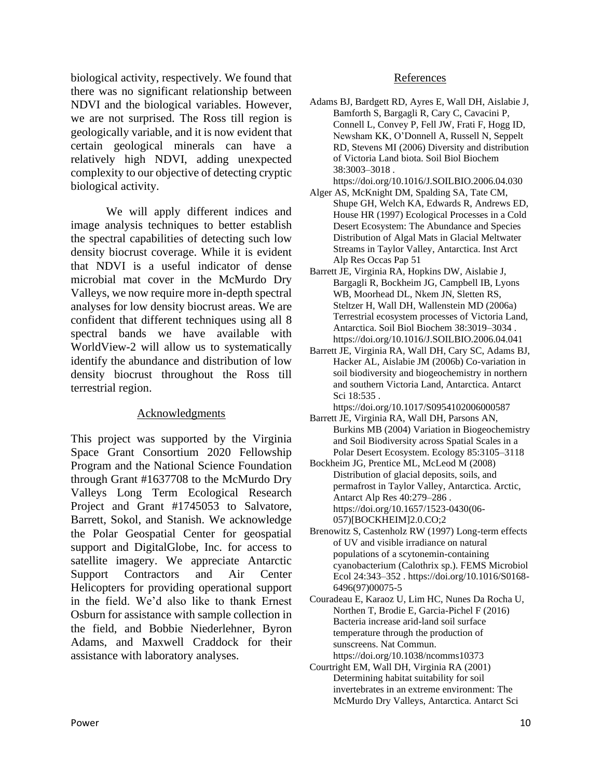biological activity, respectively. We found that there was no significant relationship between NDVI and the biological variables. However, we are not surprised. The Ross till region is geologically variable, and it is now evident that certain geological minerals can have a relatively high NDVI, adding unexpected complexity to our objective of detecting cryptic biological activity.

We will apply different indices and image analysis techniques to better establish the spectral capabilities of detecting such low density biocrust coverage. While it is evident that NDVI is a useful indicator of dense microbial mat cover in the McMurdo Dry Valleys, we now require more in-depth spectral analyses for low density biocrust areas. We are confident that different techniques using all 8 spectral bands we have available with WorldView-2 will allow us to systematically identify the abundance and distribution of low density biocrust throughout the Ross till terrestrial region.

#### Acknowledgments

This project was supported by the Virginia Space Grant Consortium 2020 Fellowship Program and the National Science Foundation through Grant #1637708 to the McMurdo Dry Valleys Long Term Ecological Research Project and Grant #1745053 to Salvatore, Barrett, Sokol, and Stanish. We acknowledge the Polar Geospatial Center for geospatial support and DigitalGlobe, Inc. for access to satellite imagery. We appreciate Antarctic Support Contractors and Air Center Helicopters for providing operational support in the field. We'd also like to thank Ernest Osburn for assistance with sample collection in the field, and Bobbie Niederlehner, Byron Adams, and Maxwell Craddock for their assistance with laboratory analyses.

#### References

- Adams BJ, Bardgett RD, Ayres E, Wall DH, Aislabie J, Bamforth S, Bargagli R, Cary C, Cavacini P, Connell L, Convey P, Fell JW, Frati F, Hogg ID, Newsham KK, O'Donnell A, Russell N, Seppelt RD, Stevens MI (2006) Diversity and distribution of Victoria Land biota. Soil Biol Biochem 38:3003–3018 .
- https://doi.org/10.1016/J.SOILBIO.2006.04.030 Alger AS, McKnight DM, Spalding SA, Tate CM,
- Shupe GH, Welch KA, Edwards R, Andrews ED, House HR (1997) Ecological Processes in a Cold Desert Ecosystem: The Abundance and Species Distribution of Algal Mats in Glacial Meltwater Streams in Taylor Valley, Antarctica. Inst Arct Alp Res Occas Pap 51
- Barrett JE, Virginia RA, Hopkins DW, Aislabie J, Bargagli R, Bockheim JG, Campbell IB, Lyons WB, Moorhead DL, Nkem JN, Sletten RS, Steltzer H, Wall DH, Wallenstein MD (2006a) Terrestrial ecosystem processes of Victoria Land, Antarctica. Soil Biol Biochem 38:3019–3034 . https://doi.org/10.1016/J.SOILBIO.2006.04.041
- Barrett JE, Virginia RA, Wall DH, Cary SC, Adams BJ, Hacker AL, Aislabie JM (2006b) Co-variation in soil biodiversity and biogeochemistry in northern and southern Victoria Land, Antarctica. Antarct Sci 18:535 .
- https://doi.org/10.1017/S0954102006000587
- Barrett JE, Virginia RA, Wall DH, Parsons AN, Burkins MB (2004) Variation in Biogeochemistry and Soil Biodiversity across Spatial Scales in a Polar Desert Ecosystem. Ecology 85:3105–3118
- Bockheim JG, Prentice ML, McLeod M (2008) Distribution of glacial deposits, soils, and permafrost in Taylor Valley, Antarctica. Arctic, Antarct Alp Res 40:279–286 . https://doi.org/10.1657/1523-0430(06- 057)[BOCKHEIM]2.0.CO;2
- Brenowitz S, Castenholz RW (1997) Long-term effects of UV and visible irradiance on natural populations of a scytonemin-containing cyanobacterium (Calothrix sp.). FEMS Microbiol Ecol 24:343–352 . https://doi.org/10.1016/S0168- 6496(97)00075-5
- Couradeau E, Karaoz U, Lim HC, Nunes Da Rocha U, Northen T, Brodie E, Garcia-Pichel F (2016) Bacteria increase arid-land soil surface temperature through the production of sunscreens. Nat Commun. https://doi.org/10.1038/ncomms10373
- Courtright EM, Wall DH, Virginia RA (2001) Determining habitat suitability for soil invertebrates in an extreme environment: The McMurdo Dry Valleys, Antarctica. Antarct Sci